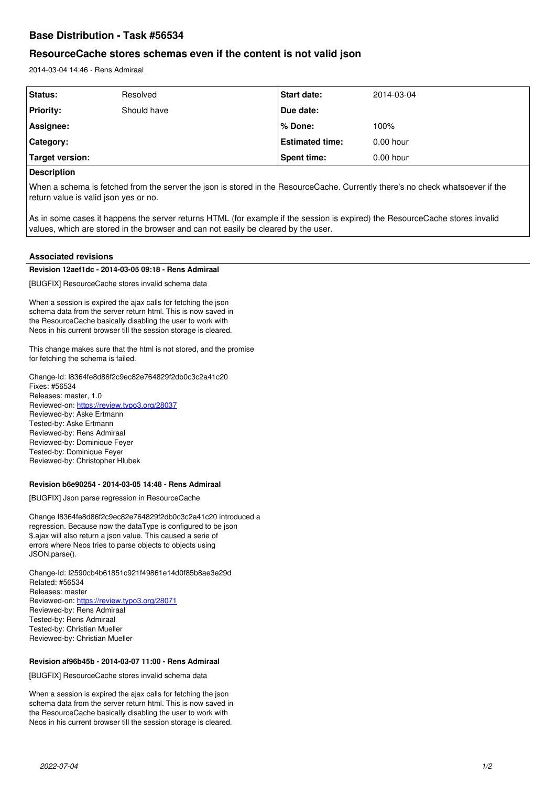# **Base Distribution - Task #56534**

# **ResourceCache stores schemas even if the content is not valid json**

2014-03-04 14:46 - Rens Admiraal

| Status:          | Resolved    | Start date:            | 2014-03-04  |
|------------------|-------------|------------------------|-------------|
| <b>Priority:</b> | Should have | Due date:              |             |
| Assignee:        |             | l% Done:               | 100%        |
| <b>Category:</b> |             | <b>Estimated time:</b> | $0.00$ hour |
| Target version:  |             | Spent time:            | $0.00$ hour |
|                  |             |                        |             |

# **Description**

When a schema is fetched from the server the json is stored in the ResourceCache. Currently there's no check whatsoever if the return value is valid json yes or no.

As in some cases it happens the server returns HTML (for example if the session is expired) the ResourceCache stores invalid values, which are stored in the browser and can not easily be cleared by the user.

## **Associated revisions**

#### **Revision 12aef1dc - 2014-03-05 09:18 - Rens Admiraal**

[BUGFIX] ResourceCache stores invalid schema data

When a session is expired the ajax calls for fetching the json schema data from the server return html. This is now saved in the ResourceCache basically disabling the user to work with Neos in his current browser till the session storage is cleared.

This change makes sure that the html is not stored, and the promise for fetching the schema is failed.

Change-Id: I8364fe8d86f2c9ec82e764829f2db0c3c2a41c20 Fixes: #56534 Releases: master, 1.0 Reviewed-on:<https://review.typo3.org/28037> Reviewed-by: Aske Ertmann Tested-by: Aske Ertmann Reviewed-by: Rens Admiraal Reviewed-by: Dominique Feyer Tested-by: Dominique Feyer Reviewed-by: Christopher Hlubek

## **Revision b6e90254 - 2014-03-05 14:48 - Rens Admiraal**

[BUGFIX] Json parse regression in ResourceCache

Change I8364fe8d86f2c9ec82e764829f2db0c3c2a41c20 introduced a regression. Because now the dataType is configured to be json \$.ajax will also return a json value. This caused a serie of errors where Neos tries to parse objects to objects using JSON.parse().

Change-Id: I2590cb4b61851c921f49861e14d0f85b8ae3e29d Related: #56534 Releases: master Reviewed-on:<https://review.typo3.org/28071> Reviewed-by: Rens Admiraal Tested-by: Rens Admiraal Tested-by: Christian Mueller Reviewed-by: Christian Mueller

## **Revision af96b45b - 2014-03-07 11:00 - Rens Admiraal**

[BUGFIX] ResourceCache stores invalid schema data

When a session is expired the ajax calls for fetching the json schema data from the server return html. This is now saved in the ResourceCache basically disabling the user to work with Neos in his current browser till the session storage is cleared.